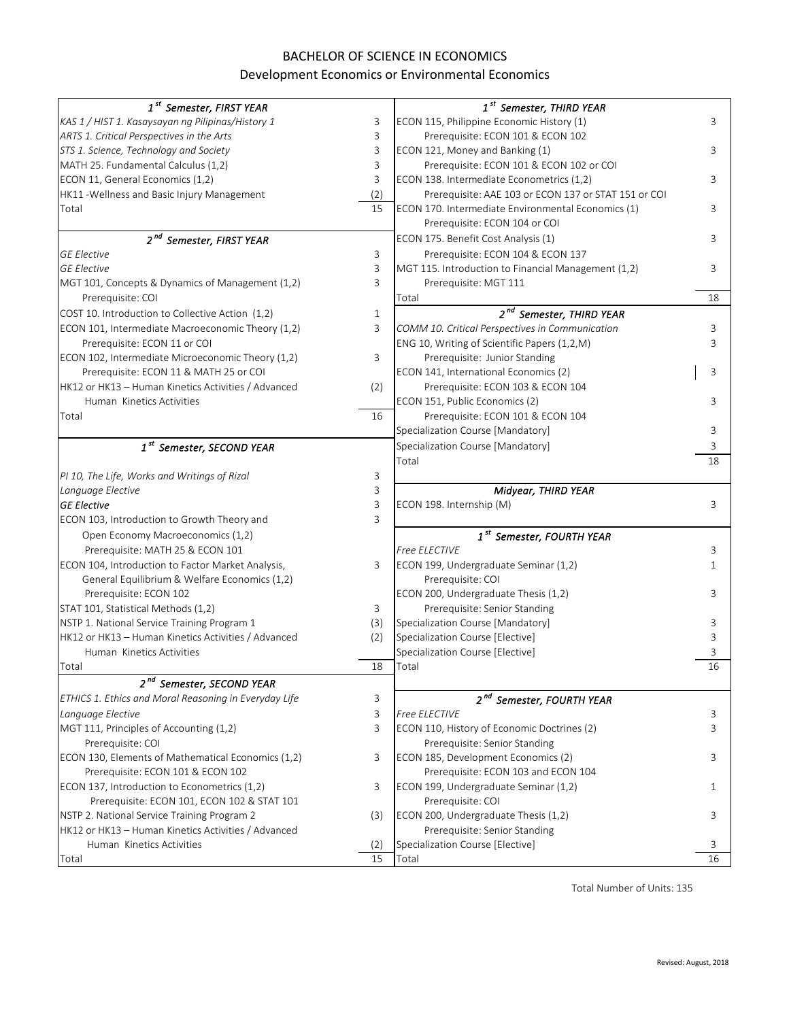## BACHELOR OF SCIENCE IN ECONOMICS

## Development Economics or Environmental Economics

| 1 <sup>st</sup> Semester, FIRST YEAR                  |              | 1 <sup>st</sup> Semester, THIRD YEAR                 |         |
|-------------------------------------------------------|--------------|------------------------------------------------------|---------|
| KAS 1 / HIST 1. Kasaysayan ng Pilipinas/History 1     | 3            | ECON 115, Philippine Economic History (1)            | 3       |
| ARTS 1. Critical Perspectives in the Arts             | 3            | Prerequisite: ECON 101 & ECON 102                    |         |
| STS 1. Science, Technology and Society                | 3            | ECON 121, Money and Banking (1)                      | 3       |
| MATH 25. Fundamental Calculus (1,2)                   | 3            | Prerequisite: ECON 101 & ECON 102 or COI             |         |
| ECON 11, General Economics (1,2)                      | 3            | ECON 138. Intermediate Econometrics (1,2)            | 3       |
| HK11 - Wellness and Basic Injury Management           | (2)          | Prerequisite: AAE 103 or ECON 137 or STAT 151 or COI |         |
| Total                                                 | 15           | ECON 170. Intermediate Environmental Economics (1)   | 3       |
|                                                       |              | Prerequisite: ECON 104 or COI                        |         |
| 2 <sup>nd</sup> Semester, FIRST YEAR                  |              | ECON 175. Benefit Cost Analysis (1)                  | 3       |
| <b>GE Elective</b>                                    | 3            | Prerequisite: ECON 104 & ECON 137                    |         |
| <b>GE Elective</b>                                    | 3            | MGT 115. Introduction to Financial Management (1,2)  | 3       |
| MGT 101, Concepts & Dynamics of Management (1,2)      | 3            | Prerequisite: MGT 111                                |         |
| Prerequisite: COI                                     |              | Total                                                | 18      |
| COST 10. Introduction to Collective Action (1,2)      | $\mathbf{1}$ | 2 <sup>nd</sup> Semester, THIRD YEAR                 |         |
| ECON 101, Intermediate Macroeconomic Theory (1,2)     | 3            | COMM 10. Critical Perspectives in Communication      | 3       |
| Prerequisite: ECON 11 or COI                          |              | ENG 10, Writing of Scientific Papers (1,2,M)         | 3       |
| ECON 102, Intermediate Microeconomic Theory (1,2)     | 3            | Prerequisite: Junior Standing                        |         |
| Prerequisite: ECON 11 & MATH 25 or COI                |              | ECON 141, International Economics (2)                | 3       |
| HK12 or HK13 - Human Kinetics Activities / Advanced   | (2)          | Prerequisite: ECON 103 & ECON 104                    |         |
| Human Kinetics Activities                             |              | ECON 151, Public Economics (2)                       | 3       |
| Total                                                 | 16           | Prerequisite: ECON 101 & ECON 104                    |         |
|                                                       |              | Specialization Course [Mandatory]                    | 3       |
| 1 <sup>st</sup> Semester, SECOND YEAR                 |              | Specialization Course [Mandatory]                    | 3       |
|                                                       |              | Total                                                | 18      |
| PI 10, The Life, Works and Writings of Rizal          | 3            |                                                      |         |
|                                                       |              |                                                      |         |
| Language Elective                                     | 3            | Midyear, THIRD YEAR                                  |         |
| <b>GE Elective</b>                                    | 3            | ECON 198. Internship (M)                             | 3       |
| ECON 103, Introduction to Growth Theory and           | 3            |                                                      |         |
| Open Economy Macroeconomics (1,2)                     |              | 1 <sup>st</sup> Semester, FOURTH YEAR                |         |
| Prerequisite: MATH 25 & ECON 101                      |              | Free ELECTIVE                                        | 3       |
| ECON 104, Introduction to Factor Market Analysis,     | 3            | ECON 199, Undergraduate Seminar (1,2)                | 1       |
| General Equilibrium & Welfare Economics (1,2)         |              | Prerequisite: COI                                    |         |
| Prerequisite: ECON 102                                |              | ECON 200, Undergraduate Thesis (1,2)                 | 3       |
| STAT 101, Statistical Methods (1,2)                   | 3            | Prerequisite: Senior Standing                        |         |
| NSTP 1. National Service Training Program 1           | (3)          | Specialization Course [Mandatory]                    | 3       |
| HK12 or HK13 - Human Kinetics Activities / Advanced   | (2)          | Specialization Course [Elective]                     | 3       |
| Human Kinetics Activities                             |              | Specialization Course [Elective]                     | 3       |
| Total                                                 | 18           | Total                                                | 16      |
| 2 <sup>nd</sup> Semester, SECOND YEAR                 |              |                                                      |         |
| ETHICS 1. Ethics and Moral Reasoning in Everyday Life | 3            | 2 <sup>nd</sup> Semester, FOURTH YEAR                |         |
| Language Elective                                     | 3            | <b>Free ELECTIVE</b>                                 | 3       |
| MGT 111, Principles of Accounting (1,2)               | 3            | ECON 110, History of Economic Doctrines (2)          | 3       |
| Prerequisite: COI                                     |              | Prerequisite: Senior Standing                        |         |
| ECON 130, Elements of Mathematical Economics (1,2)    | 3            | ECON 185, Development Economics (2)                  | 3       |
| Prerequisite: ECON 101 & ECON 102                     |              | Prerequisite: ECON 103 and ECON 104                  |         |
| ECON 137, Introduction to Econometrics (1,2)          | 3            | ECON 199, Undergraduate Seminar (1,2)                | 1       |
| Prerequisite: ECON 101, ECON 102 & STAT 101           |              | Prerequisite: COI                                    |         |
| NSTP 2. National Service Training Program 2           | (3)          | ECON 200, Undergraduate Thesis (1,2)                 | 3       |
| HK12 or HK13 - Human Kinetics Activities / Advanced   |              | Prerequisite: Senior Standing                        |         |
| Human Kinetics Activities                             | (2)<br>15    | Specialization Course [Elective]                     | 3<br>16 |

Total Number of Units: 135